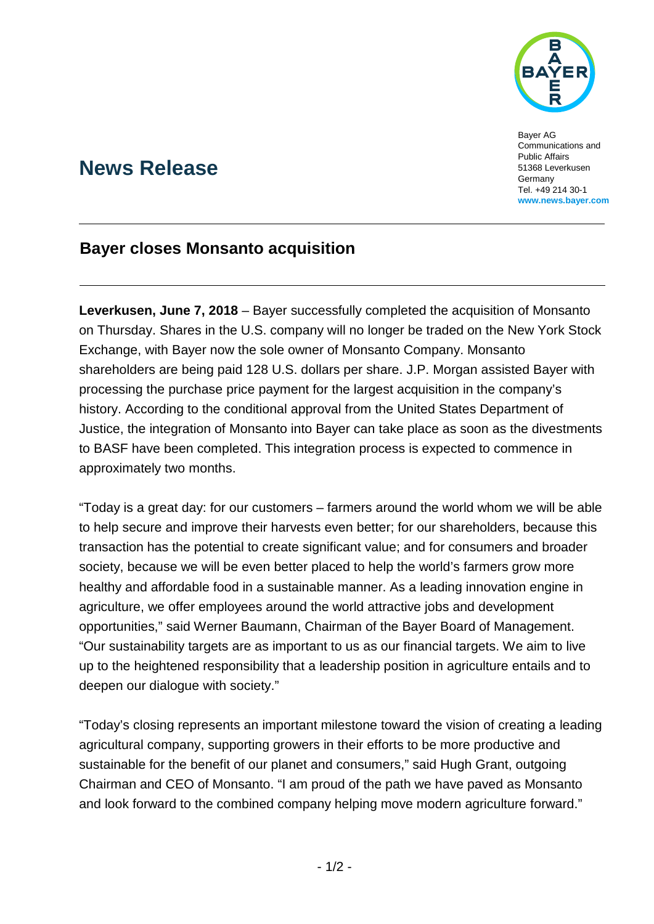

Bayer AG Communications and Public Affairs 51368 Leverkusen **Germany** Tel. +49 214 30-1 **www.news.bayer.com**

# **News Release**

# **Bayer closes Monsanto acquisition**

**Leverkusen, June 7, 2018** – Bayer successfully completed the acquisition of Monsanto on Thursday. Shares in the U.S. company will no longer be traded on the New York Stock Exchange, with Bayer now the sole owner of Monsanto Company. Monsanto shareholders are being paid 128 U.S. dollars per share. J.P. Morgan assisted Bayer with processing the purchase price payment for the largest acquisition in the company's history. According to the conditional approval from the United States Department of Justice, the integration of Monsanto into Bayer can take place as soon as the divestments to BASF have been completed. This integration process is expected to commence in approximately two months.

"Today is a great day: for our customers – farmers around the world whom we will be able to help secure and improve their harvests even better; for our shareholders, because this transaction has the potential to create significant value; and for consumers and broader society, because we will be even better placed to help the world's farmers grow more healthy and affordable food in a sustainable manner. As a leading innovation engine in agriculture, we offer employees around the world attractive jobs and development opportunities," said Werner Baumann, Chairman of the Bayer Board of Management. "Our sustainability targets are as important to us as our financial targets. We aim to live up to the heightened responsibility that a leadership position in agriculture entails and to deepen our dialogue with society."

"Today's closing represents an important milestone toward the vision of creating a leading agricultural company, supporting growers in their efforts to be more productive and sustainable for the benefit of our planet and consumers," said Hugh Grant, outgoing Chairman and CEO of Monsanto. "I am proud of the path we have paved as Monsanto and look forward to the combined company helping move modern agriculture forward."